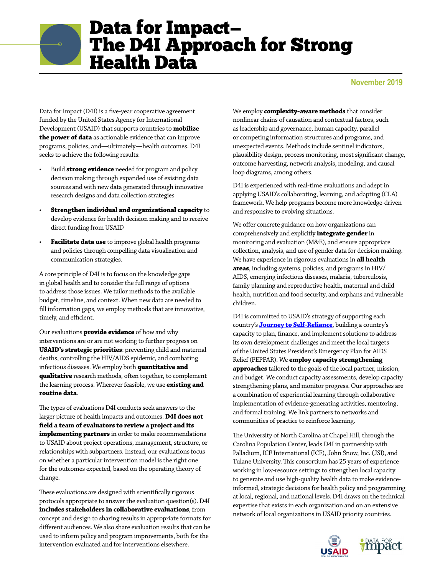## Data for Impact— The D4I Approach for Strong Health Data

**November 2019**

Data for Impact (D4I) is a five-year cooperative agreement funded by the United States Agency for International Development (USAID) that supports countries to **mobilize the power of data** as actionable evidence that can improve programs, policies, and—ultimately—health outcomes. D4I seeks to achieve the following results:

- Build **strong evidence** needed for program and policy decision making through expanded use of existing data sources and with new data generated through innovative research designs and data collection strategies
- **Strengthen individual and organizational capacity** to develop evidence for health decision making and to receive direct funding from USAID
- **Facilitate data use** to improve global health programs and policies through compelling data visualization and communication strategies.

A core principle of D4I is to focus on the knowledge gaps in global health and to consider the full range of options to address those issues. We tailor methods to the available budget, timeline, and context. When new data are needed to fill information gaps, we employ methods that are innovative, timely, and efficient.

Our evaluations **provide evidence** of how and why interventions are or are not working to further progress on **USAID's strategic priorities**: preventing child and maternal deaths, controlling the HIV/AIDS epidemic, and combating infectious diseases. We employ both **quantitative and qualitative** research methods, often together, to complement the learning process. Wherever feasible, we use **existing and routine data**.

The types of evaluations D4I conducts seek answers to the larger picture of health impacts and outcomes. **D4I does not field a team of evaluators to review a project and its implementing partners** in order to make recommendations to USAID about project operations, management, structure, or relationships with subpartners. Instead, our evaluations focus on whether a particular intervention model is the right one for the outcomes expected, based on the operating theory of change.

These evaluations are designed with scientifically rigorous protocols appropriate to answer the evaluation question(s). D4I **includes stakeholders in collaborative evaluations**, from concept and design to sharing results in appropriate formats for different audiences. We also share evaluation results that can be used to inform policy and program improvements, both for the intervention evaluated and for interventions elsewhere.

We employ **complexity-aware methods** that consider nonlinear chains of causation and contextual factors, such as leadership and governance, human capacity, parallel or competing information structures and programs, and unexpected events. Methods include sentinel indicators, plausibility design, process monitoring, most significant change, outcome harvesting, network analysis, modeling, and causal loop diagrams, among others.

D4I is experienced with real-time evaluations and adept in applying USAID's collaborating, learning, and adapting (CLA) framework. We help programs become more knowledge-driven and responsive to evolving situations.

We offer concrete guidance on how organizations can comprehensively and explicitly **integrate gender** in monitoring and evaluation (M&E), and ensure appropriate collection, analysis, and use of gender data for decision making. We have experience in rigorous evaluations in **all health areas**, including systems, policies, and programs in HIV/ AIDS, emerging infectious diseases, malaria, tuberculosis, family planning and reproductive health, maternal and child health, nutrition and food security, and orphans and vulnerable children.

D4I is committed to USAID's strategy of supporting each country's **[Journey to Self-Reliance](https://www.usaid.gov/selfreliance)**, building a country's capacity to plan, finance, and implement solutions to address its own development challenges and meet the local targets of the United States President's Emergency Plan for AIDS Relief (PEPFAR). We **employ capacity strengthening approaches** tailored to the goals of the local partner, mission, and budget. We conduct capacity assessments, develop capacity strengthening plans, and monitor progress. Our approaches are a combination of experiential learning through collaborative implementation of evidence-generating activities, mentoring, and formal training. We link partners to networks and communities of practice to reinforce learning.

The University of North Carolina at Chapel Hill, through the Carolina Population Center, leads D4I in partnership with Palladium, ICF International (ICF), John Snow, Inc. (JSI), and Tulane University. This consortium has 25 years of experience working in low-resource settings to strengthen local capacity to generate and use high-quality health data to make evidenceinformed, strategic decisions for health policy and programming at local, regional, and national levels. D4I draws on the technical expertise that exists in each organization and on an extensive network of local organizations in USAID priority countries.